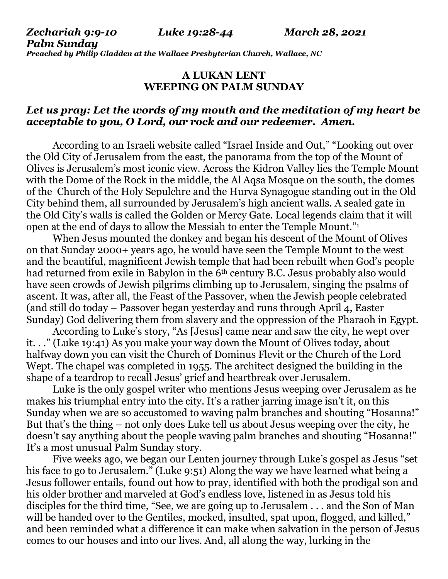*Zechariah 9:9-10 Luke 19:28-44 March 28, 2021 Palm Sunday Preached by Philip Gladden at the Wallace Presbyterian Church, Wallace, NC*

## **A LUKAN LENT WEEPING ON PALM SUNDAY**

## *Let us pray: Let the words of my mouth and the meditation of my heart be acceptable to you, O Lord, our rock and our redeemer. Amen.*

According to an Israeli website called "Israel Inside and Out," "Looking out over the Old City of Jerusalem from the east, the panorama from the top of the Mount of Olives is Jerusalem's most iconic view. Across the Kidron Valley lies the Temple Mount with the Dome of the Rock in the middle, the Al Aqsa Mosque on the south, the domes of the Church of the Holy [Sepulchre](https://israelinsideout.com/Christian-Sites-in-the-Old-City/the-church-of-the-holy-sepulcher.html) and the Hurva [Synagogue](https://israelinsideout.com/Things-to-do-in-Jerusalem/the-hurva.html) standing out in the Old City behind them, all surrounded by Jerusalem's high ancient walls. A sealed gate in the Old City's walls is called the Golden or Mercy Gate. Local legends claim that it will open at the end of days to allow the Messiah to enter the Temple Mount." 1

When Jesus mounted the donkey and began his descent of the Mount of Olives on that Sunday 2000+ years ago, he would have seen the Temple Mount to the west and the beautiful, magnificent Jewish temple that had been rebuilt when God's people had returned from exile in Babylon in the 6<sup>th</sup> century B.C. Jesus probably also would have seen crowds of Jewish pilgrims climbing up to Jerusalem, singing the psalms of ascent. It was, after all, the Feast of the Passover, when the Jewish people celebrated (and still do today – Passover began yesterday and runs through April 4, Easter Sunday) God delivering them from slavery and the oppression of the Pharaoh in Egypt.

According to Luke's story, "As [Jesus] came near and saw the city, he wept over it. . ." (Luke 19:41) As you make your way down the Mount of Olives today, about halfway down you can visit the Church of Dominus Flevit or the Church of the Lord Wept. The chapel was completed in 1955. The architect designed the building in the shape of a teardrop to recall Jesus' grief and heartbreak over Jerusalem.

Luke is the only gospel writer who mentions Jesus weeping over Jerusalem as he makes his triumphal entry into the city. It's a rather jarring image isn't it, on this Sunday when we are so accustomed to waving palm branches and shouting "Hosanna!" But that's the thing – not only does Luke tell us about Jesus weeping over the city, he doesn't say anything about the people waving palm branches and shouting "Hosanna!" It's a most unusual Palm Sunday story.

Five weeks ago, we began our Lenten journey through Luke's gospel as Jesus "set his face to go to Jerusalem." (Luke 9:51) Along the way we have learned what being a Jesus follower entails, found out how to pray, identified with both the prodigal son and his older brother and marveled at God's endless love, listened in as Jesus told his disciples for the third time, "See, we are going up to Jerusalem . . . and the Son of Man will be handed over to the Gentiles, mocked, insulted, spat upon, flogged, and killed," and been reminded what a difference it can make when salvation in the person of Jesus comes to our houses and into our lives. And, all along the way, lurking in the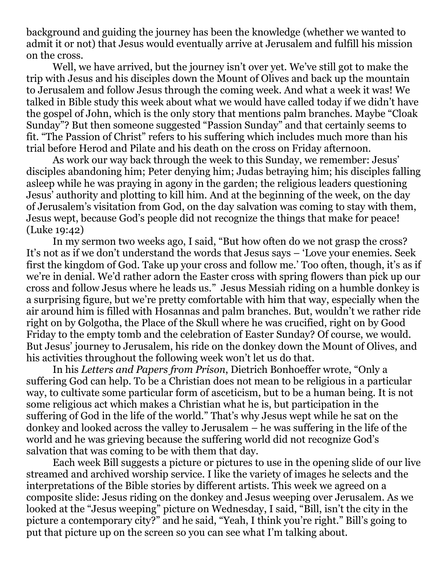background and guiding the journey has been the knowledge (whether we wanted to admit it or not) that Jesus would eventually arrive at Jerusalem and fulfill his mission on the cross.

Well, we have arrived, but the journey isn't over yet. We've still got to make the trip with Jesus and his disciples down the Mount of Olives and back up the mountain to Jerusalem and follow Jesus through the coming week. And what a week it was! We talked in Bible study this week about what we would have called today if we didn't have the gospel of John, which is the only story that mentions palm branches. Maybe "Cloak Sunday"? But then someone suggested "Passion Sunday" and that certainly seems to fit. "The Passion of Christ" refers to his suffering which includes much more than his trial before Herod and Pilate and his death on the cross on Friday afternoon.

As work our way back through the week to this Sunday, we remember: Jesus' disciples abandoning him; Peter denying him; Judas betraying him; his disciples falling asleep while he was praying in agony in the garden; the religious leaders questioning Jesus' authority and plotting to kill him. And at the beginning of the week, on the day of Jerusalem's visitation from God, on the day salvation was coming to stay with them, Jesus wept, because God's people did not recognize the things that make for peace! (Luke 19:42)

In my sermon two weeks ago, I said, "But how often do we not grasp the cross? It's not as if we don't understand the words that Jesus says – 'Love your enemies. Seek first the kingdom of God. Take up your cross and follow me.' Too often, though, it's as if we're in denial. We'd rather adorn the Easter cross with spring flowers than pick up our cross and follow Jesus where he leads us." Jesus Messiah riding on a humble donkey is a surprising figure, but we're pretty comfortable with him that way, especially when the air around him is filled with Hosannas and palm branches. But, wouldn't we rather ride right on by Golgotha, the Place of the Skull where he was crucified, right on by Good Friday to the empty tomb and the celebration of Easter Sunday? Of course, we would. But Jesus' journey to Jerusalem, his ride on the donkey down the Mount of Olives, and his activities throughout the following week won't let us do that.

In his *Letters and Papers from Prison*, Dietrich Bonhoeffer wrote, "Only a suffering God can help. To be a Christian does not mean to be religious in a particular way, to cultivate some particular form of asceticism, but to be a human being. It is not some religious act which makes a Christian what he is, but participation in the suffering of God in the life of the world." That's why Jesus wept while he sat on the donkey and looked across the valley to Jerusalem – he was suffering in the life of the world and he was grieving because the suffering world did not recognize God's salvation that was coming to be with them that day.

Each week Bill suggests a picture or pictures to use in the opening slide of our live streamed and archived worship service. I like the variety of images he selects and the interpretations of the Bible stories by different artists. This week we agreed on a composite slide: Jesus riding on the donkey and Jesus weeping over Jerusalem. As we looked at the "Jesus weeping" picture on Wednesday, I said, "Bill, isn't the city in the picture a contemporary city?" and he said, "Yeah, I think you're right." Bill's going to put that picture up on the screen so you can see what I'm talking about.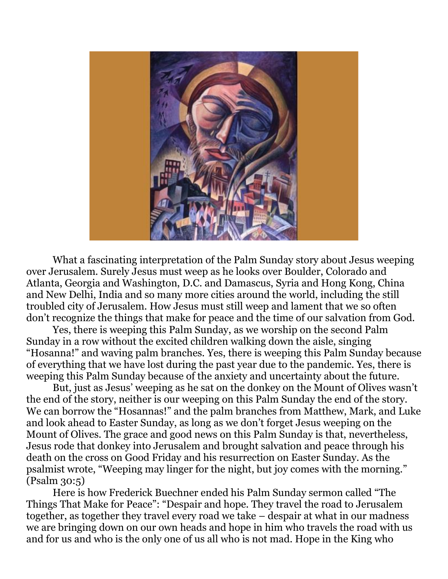

What a fascinating interpretation of the Palm Sunday story about Jesus weeping over Jerusalem. Surely Jesus must weep as he looks over Boulder, Colorado and Atlanta, Georgia and Washington, D.C. and Damascus, Syria and Hong Kong, China and New Delhi, India and so many more cities around the world, including the still troubled city of Jerusalem. How Jesus must still weep and lament that we so often don't recognize the things that make for peace and the time of our salvation from God.

Yes, there is weeping this Palm Sunday, as we worship on the second Palm Sunday in a row without the excited children walking down the aisle, singing "Hosanna!" and waving palm branches. Yes, there is weeping this Palm Sunday because of everything that we have lost during the past year due to the pandemic. Yes, there is weeping this Palm Sunday because of the anxiety and uncertainty about the future.

But, just as Jesus' weeping as he sat on the donkey on the Mount of Olives wasn't the end of the story, neither is our weeping on this Palm Sunday the end of the story. We can borrow the "Hosannas!" and the palm branches from Matthew, Mark, and Luke and look ahead to Easter Sunday, as long as we don't forget Jesus weeping on the Mount of Olives. The grace and good news on this Palm Sunday is that, nevertheless, Jesus rode that donkey into Jerusalem and brought salvation and peace through his death on the cross on Good Friday and his resurrection on Easter Sunday. As the psalmist wrote, "Weeping may linger for the night, but joy comes with the morning." (Psalm 30:5)

Here is how Frederick Buechner ended his Palm Sunday sermon called "The Things That Make for Peace": "Despair and hope. They travel the road to Jerusalem together, as together they travel every road we take – despair at what in our madness we are bringing down on our own heads and hope in him who travels the road with us and for us and who is the only one of us all who is not mad. Hope in the King who